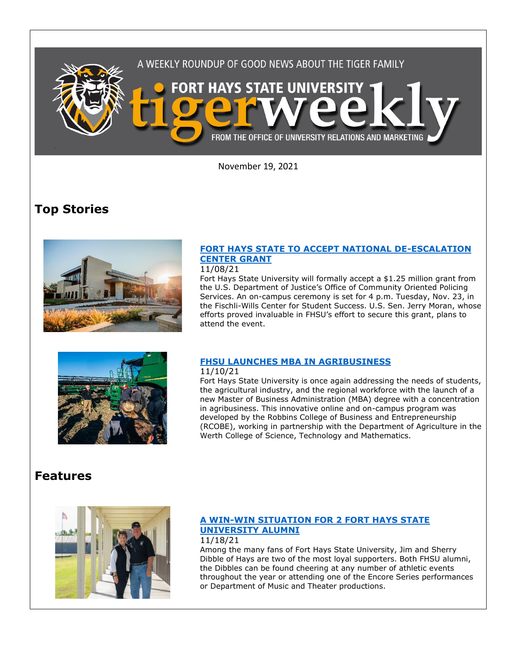

November 19, 2021

# **Top Stories**



## **[FORT HAYS STATE TO ACCEPT NATIONAL DE-ESCALATION](https://www.fhsu.edu/news/2021/11/fort-hays-state-to-accept-national-de-escalation-center-grant)  [CENTER GRANT](https://www.fhsu.edu/news/2021/11/fort-hays-state-to-accept-national-de-escalation-center-grant)**

11/08/21

Fort Hays State University will formally accept a \$1.25 million grant from the U.S. Department of Justice's Office of Community Oriented Policing Services. An on-campus ceremony is set for 4 p.m. Tuesday, Nov. 23, in the Fischli-Wills Center for Student Success. U.S. Sen. Jerry Moran, whose efforts proved invaluable in FHSU's effort to secure this grant, plans to attend the event.



## **[FHSU LAUNCHES MBA IN AGRIBUSINESS](https://www.fhsu.edu/news/2021/11/fhsu-launches-mba-in-agribusiness)**

11/10/21

Fort Hays State University is once again addressing the needs of students, the agricultural industry, and the regional workforce with the launch of a new [Master of Business Administration \(MBA\) degree with a concentration](https://fhsu.edu/mba/concentrations/mba-agribusiness-concentration)  [in agribusiness.](https://fhsu.edu/mba/concentrations/mba-agribusiness-concentration) This innovative online and on-campus program was developed by the Robbins College of Business and Entrepreneurship (RCOBE), working in partnership with the Department of Agriculture in the Werth College of Science, Technology and Mathematics.

## **Features**



#### **[A WIN-WIN SITUATION FOR 2 FORT HAYS STATE](https://www.fhsu.edu/news/2021/11/a-win-win-situation-for-2-fort-hays-state-university-alumni)  [UNIVERSITY ALUMNI](https://www.fhsu.edu/news/2021/11/a-win-win-situation-for-2-fort-hays-state-university-alumni)** 11/18/21

Among the many fans of Fort Hays State University, Jim and Sherry Dibble of Hays are two of the most loyal supporters. Both FHSU alumni, the Dibbles can be found cheering at any number of athletic events throughout the year or attending one of the Encore Series performances or Department of Music and Theater productions.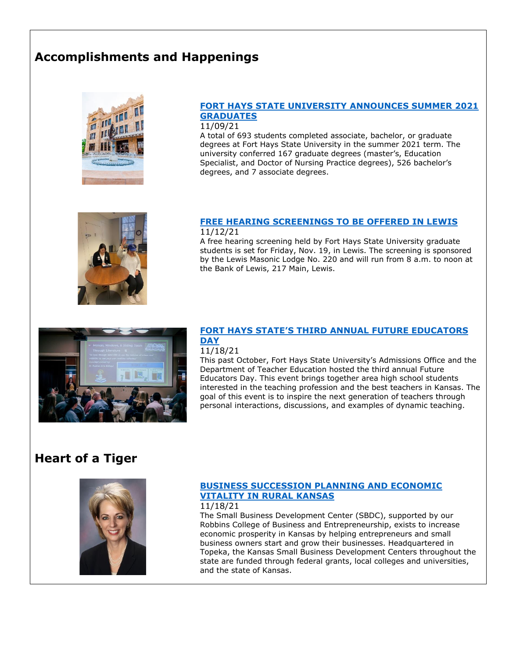# **Accomplishments and Happenings**



#### **[FORT HAYS STATE UNIVERSITY ANNOUNCES SUMMER 2021](https://www.fhsu.edu/news/2021/11/fort-hays-state-university-announces-summer-2021-graduates)  [GRADUATES](https://www.fhsu.edu/news/2021/11/fort-hays-state-university-announces-summer-2021-graduates)**

11/09/21

A total of 693 students completed associate, bachelor, or graduate degrees at Fort Hays State University in the summer 2021 term. The university conferred 167 graduate degrees (master's, Education Specialist, and Doctor of Nursing Practice degrees), 526 bachelor's degrees, and 7 associate degrees.



#### **[FREE HEARING SCREENINGS TO BE OFFERED IN LEWIS](https://www.fhsu.edu/news/2021/11/free-hearing-screenings-to-be-offered-in-lewis)** 11/12/21

A free hearing screening held by Fort Hays State University graduate students is set for Friday, Nov. 19, in Lewis. The screening is sponsored by the Lewis Masonic Lodge No. 220 and will run from 8 a.m. to noon at the Bank of Lewis, 217 Main, Lewis.



### **FORT HAYS STATE'S THIRD ANNUAL [FUTURE EDUCATORS](https://www.fhsu.edu/news/2021/11/fort-hays-states-third-annual-future-educators-day)  [DAY](https://www.fhsu.edu/news/2021/11/fort-hays-states-third-annual-future-educators-day)**

### 11/18/21

This past October, Fort Hays State University's Admissions Office and the Department of Teacher Education hosted the third annual Future Educators Day. This event brings together area high school students interested in the teaching profession and the best teachers in Kansas. The goal of this event is to inspire the next generation of teachers through personal interactions, discussions, and examples of dynamic teaching.

## **Heart of a Tiger**



### **[BUSINESS SUCCESSION PLANNING AND ECONOMIC](https://tigermedianet.com/?p=62157)  [VITALITY IN RURAL KANSAS](https://tigermedianet.com/?p=62157)**

11/18/21

The Small Business Development Center (SBDC), supported by our Robbins College of Business and Entrepreneurship, exists to increase economic prosperity in Kansas by helping entrepreneurs and small business owners start and grow their businesses. Headquartered in Topeka, the Kansas Small Business Development Centers throughout the state are funded through federal grants, local colleges and universities, and the state of Kansas.